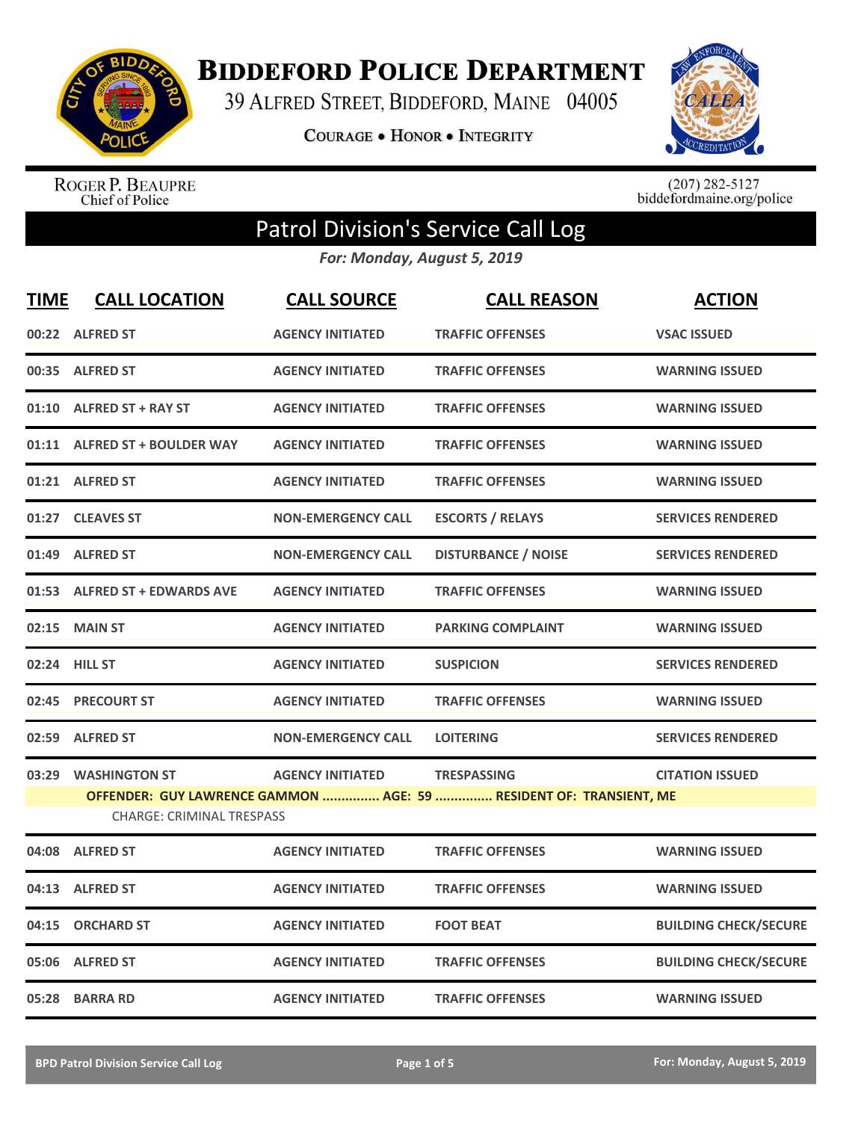

**BIDDEFORD POLICE DEPARTMENT** 

39 ALFRED STREET, BIDDEFORD, MAINE 04005

**COURAGE . HONOR . INTEGRITY** 



ROGER P. BEAUPRE<br>Chief of Police

 $(207)$  282-5127<br>biddefordmaine.org/police

## Patrol Division's Service Call Log

*For: Monday, August 5, 2019*

| <b>TIME</b> | <b>CALL LOCATION</b>             | <b>CALL SOURCE</b>        | <b>CALL REASON</b>                                                 | <b>ACTION</b>                |
|-------------|----------------------------------|---------------------------|--------------------------------------------------------------------|------------------------------|
|             | 00:22 ALFRED ST                  | <b>AGENCY INITIATED</b>   | <b>TRAFFIC OFFENSES</b>                                            | <b>VSAC ISSUED</b>           |
| 00:35       | <b>ALFRED ST</b>                 | <b>AGENCY INITIATED</b>   | <b>TRAFFIC OFFENSES</b>                                            | <b>WARNING ISSUED</b>        |
| 01:10       | <b>ALFRED ST + RAY ST</b>        | <b>AGENCY INITIATED</b>   | <b>TRAFFIC OFFENSES</b>                                            | <b>WARNING ISSUED</b>        |
| 01:11       | <b>ALFRED ST + BOULDER WAY</b>   | <b>AGENCY INITIATED</b>   | <b>TRAFFIC OFFENSES</b>                                            | <b>WARNING ISSUED</b>        |
|             | 01:21 ALFRED ST                  | <b>AGENCY INITIATED</b>   | <b>TRAFFIC OFFENSES</b>                                            | <b>WARNING ISSUED</b>        |
| 01:27       | <b>CLEAVES ST</b>                | <b>NON-EMERGENCY CALL</b> | <b>ESCORTS / RELAYS</b>                                            | <b>SERVICES RENDERED</b>     |
| 01:49       | <b>ALFRED ST</b>                 | <b>NON-EMERGENCY CALL</b> | <b>DISTURBANCE / NOISE</b>                                         | <b>SERVICES RENDERED</b>     |
|             | 01:53 ALFRED ST + EDWARDS AVE    | <b>AGENCY INITIATED</b>   | <b>TRAFFIC OFFENSES</b>                                            | <b>WARNING ISSUED</b>        |
| 02:15       | <b>MAIN ST</b>                   | <b>AGENCY INITIATED</b>   | <b>PARKING COMPLAINT</b>                                           | <b>WARNING ISSUED</b>        |
|             | 02:24 HILL ST                    | <b>AGENCY INITIATED</b>   | <b>SUSPICION</b>                                                   | <b>SERVICES RENDERED</b>     |
| 02:45       | <b>PRECOURT ST</b>               | <b>AGENCY INITIATED</b>   | <b>TRAFFIC OFFENSES</b>                                            | <b>WARNING ISSUED</b>        |
| 02:59       | <b>ALFRED ST</b>                 | <b>NON-EMERGENCY CALL</b> | <b>LOITERING</b>                                                   | <b>SERVICES RENDERED</b>     |
| 03:29       | <b>WASHINGTON ST</b>             | <b>AGENCY INITIATED</b>   | <b>TRESPASSING</b>                                                 | <b>CITATION ISSUED</b>       |
|             | <b>CHARGE: CRIMINAL TRESPASS</b> |                           | OFFENDER: GUY LAWRENCE GAMMON  AGE: 59  RESIDENT OF: TRANSIENT, ME |                              |
|             |                                  |                           |                                                                    |                              |
| 04:08       | <b>ALFRED ST</b>                 | <b>AGENCY INITIATED</b>   | <b>TRAFFIC OFFENSES</b>                                            | <b>WARNING ISSUED</b>        |
| 04:13       | <b>ALFRED ST</b>                 | <b>AGENCY INITIATED</b>   | <b>TRAFFIC OFFENSES</b>                                            | <b>WARNING ISSUED</b>        |
| 04:15       | <b>ORCHARD ST</b>                | <b>AGENCY INITIATED</b>   | <b>FOOT BEAT</b>                                                   | <b>BUILDING CHECK/SECURE</b> |
| 05:06       | <b>ALFRED ST</b>                 | <b>AGENCY INITIATED</b>   | <b>TRAFFIC OFFENSES</b>                                            | <b>BUILDING CHECK/SECURE</b> |
|             | 05:28 BARRA RD                   | <b>AGENCY INITIATED</b>   | <b>TRAFFIC OFFENSES</b>                                            | <b>WARNING ISSUED</b>        |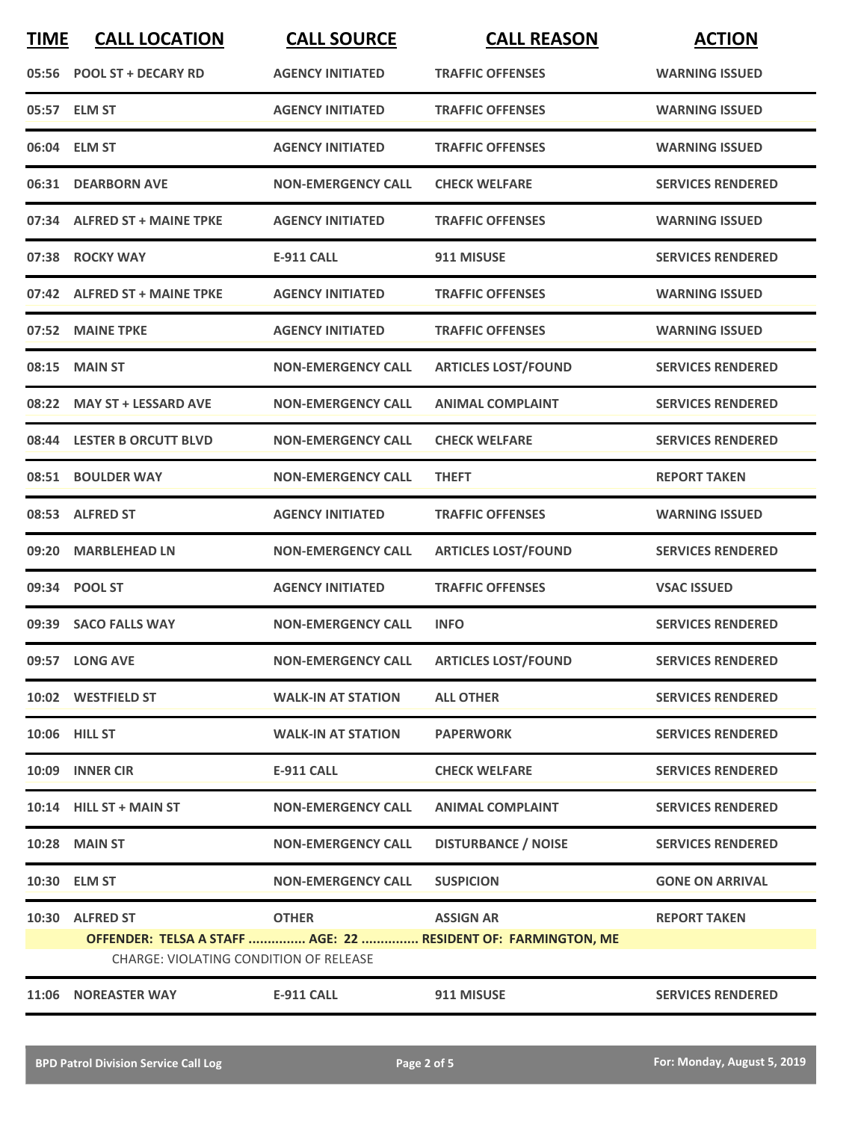| <b>TIME</b>                                                                                                    | <b>CALL LOCATION</b>         | <b>CALL SOURCE</b>        | <b>CALL REASON</b>                     | <b>ACTION</b>            |
|----------------------------------------------------------------------------------------------------------------|------------------------------|---------------------------|----------------------------------------|--------------------------|
|                                                                                                                | 05:56 POOL ST + DECARY RD    | <b>AGENCY INITIATED</b>   | <b>TRAFFIC OFFENSES</b>                | <b>WARNING ISSUED</b>    |
|                                                                                                                | 05:57 ELM ST                 | <b>AGENCY INITIATED</b>   | <b>TRAFFIC OFFENSES</b>                | <b>WARNING ISSUED</b>    |
|                                                                                                                | 06:04 ELM ST                 | <b>AGENCY INITIATED</b>   | <b>TRAFFIC OFFENSES</b>                | <b>WARNING ISSUED</b>    |
|                                                                                                                | 06:31 DEARBORN AVE           | <b>NON-EMERGENCY CALL</b> | <b>CHECK WELFARE</b>                   | <b>SERVICES RENDERED</b> |
|                                                                                                                | 07:34 ALFRED ST + MAINE TPKE | <b>AGENCY INITIATED</b>   | <b>TRAFFIC OFFENSES</b>                | <b>WARNING ISSUED</b>    |
|                                                                                                                | 07:38 ROCKY WAY              | <b>E-911 CALL</b>         | 911 MISUSE                             | <b>SERVICES RENDERED</b> |
|                                                                                                                | 07:42 ALFRED ST + MAINE TPKE | <b>AGENCY INITIATED</b>   | <b>TRAFFIC OFFENSES</b>                | <b>WARNING ISSUED</b>    |
|                                                                                                                | 07:52 MAINE TPKE             | <b>AGENCY INITIATED</b>   | <b>TRAFFIC OFFENSES</b>                | <b>WARNING ISSUED</b>    |
| 08:15                                                                                                          | <b>MAIN ST</b>               | <b>NON-EMERGENCY CALL</b> | <b>ARTICLES LOST/FOUND</b>             | <b>SERVICES RENDERED</b> |
|                                                                                                                | 08:22 MAY ST + LESSARD AVE   | <b>NON-EMERGENCY CALL</b> | <b>ANIMAL COMPLAINT</b>                | <b>SERVICES RENDERED</b> |
|                                                                                                                | 08:44 LESTER B ORCUTT BLVD   | <b>NON-EMERGENCY CALL</b> | <b>CHECK WELFARE</b>                   | <b>SERVICES RENDERED</b> |
|                                                                                                                | 08:51 BOULDER WAY            | <b>NON-EMERGENCY CALL</b> | <b>THEFT</b>                           | <b>REPORT TAKEN</b>      |
|                                                                                                                | 08:53 ALFRED ST              | <b>AGENCY INITIATED</b>   | <b>TRAFFIC OFFENSES</b>                | <b>WARNING ISSUED</b>    |
| 09:20                                                                                                          | <b>MARBLEHEAD LN</b>         | <b>NON-EMERGENCY CALL</b> | <b>ARTICLES LOST/FOUND</b>             | <b>SERVICES RENDERED</b> |
|                                                                                                                | 09:34 POOL ST                | <b>AGENCY INITIATED</b>   | <b>TRAFFIC OFFENSES</b>                | <b>VSAC ISSUED</b>       |
|                                                                                                                | 09:39 SACO FALLS WAY         | <b>NON-EMERGENCY CALL</b> | <b>INFO</b>                            | <b>SERVICES RENDERED</b> |
|                                                                                                                | 09:57 LONG AVE               |                           | NON-EMERGENCY CALL ARTICLES LOST/FOUND | <b>SERVICES RENDERED</b> |
|                                                                                                                | 10:02 WESTFIELD ST           | <b>WALK-IN AT STATION</b> | <b>ALL OTHER</b>                       | <b>SERVICES RENDERED</b> |
|                                                                                                                | 10:06 HILL ST                | <b>WALK-IN AT STATION</b> | <b>PAPERWORK</b>                       | <b>SERVICES RENDERED</b> |
|                                                                                                                | 10:09 INNER CIR              | E-911 CALL                | <b>CHECK WELFARE</b>                   | <b>SERVICES RENDERED</b> |
|                                                                                                                | 10:14 HILL ST + MAIN ST      | <b>NON-EMERGENCY CALL</b> | <b>ANIMAL COMPLAINT</b>                | <b>SERVICES RENDERED</b> |
|                                                                                                                | <b>10:28 MAIN ST</b>         | <b>NON-EMERGENCY CALL</b> | <b>DISTURBANCE / NOISE</b>             | <b>SERVICES RENDERED</b> |
|                                                                                                                | 10:30 ELM ST                 | <b>NON-EMERGENCY CALL</b> | <b>SUSPICION</b>                       | <b>GONE ON ARRIVAL</b>   |
|                                                                                                                | 10:30 ALFRED ST              | <b>OTHER</b>              | <b>ASSIGN AR</b>                       | <b>REPORT TAKEN</b>      |
| OFFENDER: TELSA A STAFF  AGE: 22  RESIDENT OF: FARMINGTON, ME<br><b>CHARGE: VIOLATING CONDITION OF RELEASE</b> |                              |                           |                                        |                          |
|                                                                                                                | 11:06 NOREASTER WAY          | <b>E-911 CALL</b>         | 911 MISUSE                             | <b>SERVICES RENDERED</b> |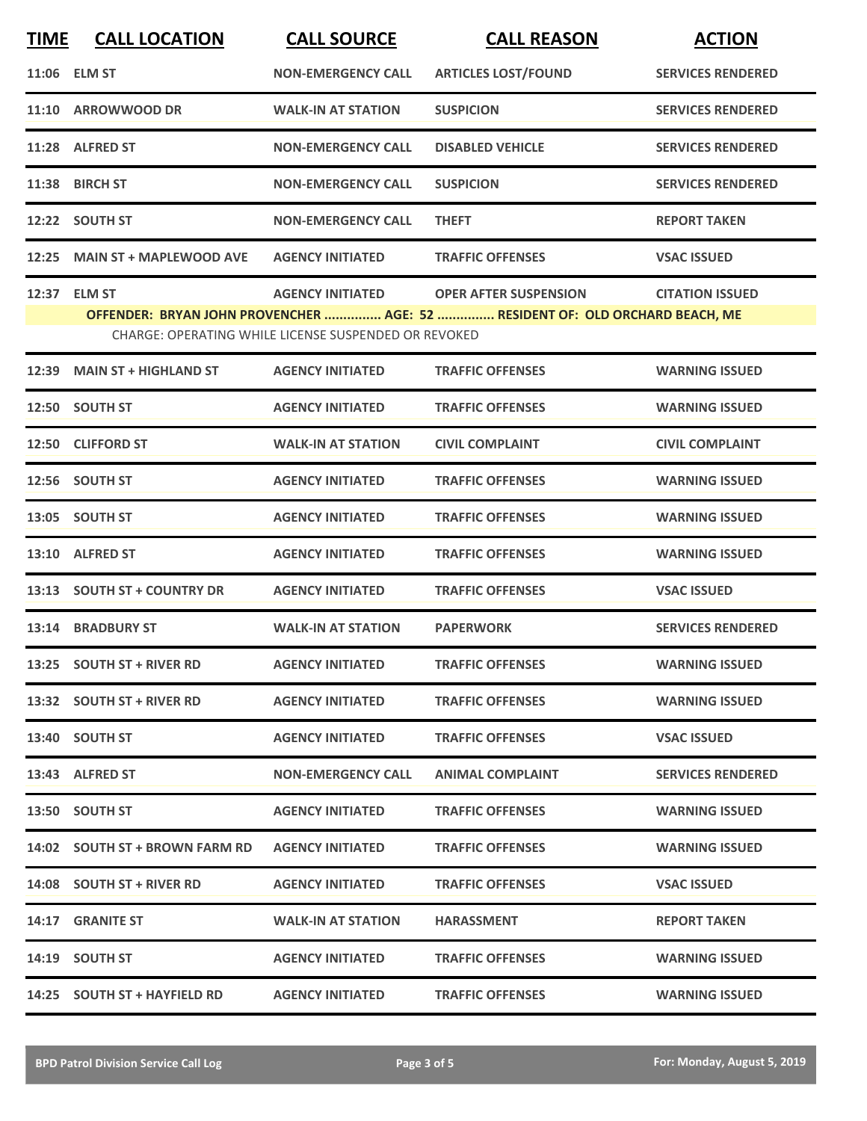| <b>TIME</b> | <b>CALL LOCATION</b>           | <b>CALL SOURCE</b>                                   | <b>CALL REASON</b>                                                           | <b>ACTION</b>            |
|-------------|--------------------------------|------------------------------------------------------|------------------------------------------------------------------------------|--------------------------|
|             | 11:06 ELM ST                   | <b>NON-EMERGENCY CALL</b>                            | <b>ARTICLES LOST/FOUND</b>                                                   | <b>SERVICES RENDERED</b> |
|             | 11:10 ARROWWOOD DR             | <b>WALK-IN AT STATION</b>                            | <b>SUSPICION</b>                                                             | <b>SERVICES RENDERED</b> |
|             | 11:28 ALFRED ST                | <b>NON-EMERGENCY CALL</b>                            | <b>DISABLED VEHICLE</b>                                                      | <b>SERVICES RENDERED</b> |
|             | 11:38 BIRCH ST                 | <b>NON-EMERGENCY CALL</b>                            | <b>SUSPICION</b>                                                             | <b>SERVICES RENDERED</b> |
|             | 12:22 SOUTH ST                 | <b>NON-EMERGENCY CALL</b>                            | <b>THEFT</b>                                                                 | <b>REPORT TAKEN</b>      |
|             | 12:25 MAIN ST + MAPLEWOOD AVE  | <b>AGENCY INITIATED</b>                              | <b>TRAFFIC OFFENSES</b>                                                      | <b>VSAC ISSUED</b>       |
|             | 12:37 ELM ST                   | <b>AGENCY INITIATED</b>                              | <b>OPER AFTER SUSPENSION</b>                                                 | <b>CITATION ISSUED</b>   |
|             |                                |                                                      | OFFENDER: BRYAN JOHN PROVENCHER  AGE: 52  RESIDENT OF: OLD ORCHARD BEACH, ME |                          |
|             |                                | CHARGE: OPERATING WHILE LICENSE SUSPENDED OR REVOKED |                                                                              |                          |
| 12:39       | <b>MAIN ST + HIGHLAND ST</b>   | <b>AGENCY INITIATED</b>                              | <b>TRAFFIC OFFENSES</b>                                                      | <b>WARNING ISSUED</b>    |
|             | 12:50 SOUTH ST                 | <b>AGENCY INITIATED</b>                              | <b>TRAFFIC OFFENSES</b>                                                      | <b>WARNING ISSUED</b>    |
|             | 12:50 CLIFFORD ST              | <b>WALK-IN AT STATION</b>                            | <b>CIVIL COMPLAINT</b>                                                       | <b>CIVIL COMPLAINT</b>   |
|             | 12:56 SOUTH ST                 | <b>AGENCY INITIATED</b>                              | <b>TRAFFIC OFFENSES</b>                                                      | <b>WARNING ISSUED</b>    |
|             | 13:05 SOUTH ST                 | <b>AGENCY INITIATED</b>                              | <b>TRAFFIC OFFENSES</b>                                                      | <b>WARNING ISSUED</b>    |
| 13:10       | <b>ALFRED ST</b>               | <b>AGENCY INITIATED</b>                              | <b>TRAFFIC OFFENSES</b>                                                      | <b>WARNING ISSUED</b>    |
|             | 13:13 SOUTH ST + COUNTRY DR    | <b>AGENCY INITIATED</b>                              | <b>TRAFFIC OFFENSES</b>                                                      | <b>VSAC ISSUED</b>       |
|             | 13:14 BRADBURY ST              | <b>WALK-IN AT STATION</b>                            | <b>PAPERWORK</b>                                                             | <b>SERVICES RENDERED</b> |
|             | 13:25 SOUTH ST + RIVER RD      | <b>AGENCY INITIATED</b>                              | <b>TRAFFIC OFFENSES</b>                                                      | <b>WARNING ISSUED</b>    |
|             | 13:32 SOUTH ST + RIVER RD      | <b>AGENCY INITIATED</b>                              | <b>TRAFFIC OFFENSES</b>                                                      | <b>WARNING ISSUED</b>    |
|             | 13:40 SOUTH ST                 | <b>AGENCY INITIATED</b>                              | <b>TRAFFIC OFFENSES</b>                                                      | <b>VSAC ISSUED</b>       |
|             | 13:43 ALFRED ST                | <b>NON-EMERGENCY CALL</b>                            | <b>ANIMAL COMPLAINT</b>                                                      | <b>SERVICES RENDERED</b> |
|             | 13:50 SOUTH ST                 | <b>AGENCY INITIATED</b>                              | <b>TRAFFIC OFFENSES</b>                                                      | <b>WARNING ISSUED</b>    |
|             | 14:02 SOUTH ST + BROWN FARM RD | <b>AGENCY INITIATED</b>                              | <b>TRAFFIC OFFENSES</b>                                                      | <b>WARNING ISSUED</b>    |
|             | 14:08 SOUTH ST + RIVER RD      | <b>AGENCY INITIATED</b>                              | <b>TRAFFIC OFFENSES</b>                                                      | <b>VSAC ISSUED</b>       |
|             | 14:17 GRANITE ST               | <b>WALK-IN AT STATION</b>                            | <b>HARASSMENT</b>                                                            | <b>REPORT TAKEN</b>      |
|             | 14:19 SOUTH ST                 | <b>AGENCY INITIATED</b>                              | <b>TRAFFIC OFFENSES</b>                                                      | <b>WARNING ISSUED</b>    |
|             | 14:25 SOUTH ST + HAYFIELD RD   | <b>AGENCY INITIATED</b>                              | <b>TRAFFIC OFFENSES</b>                                                      | <b>WARNING ISSUED</b>    |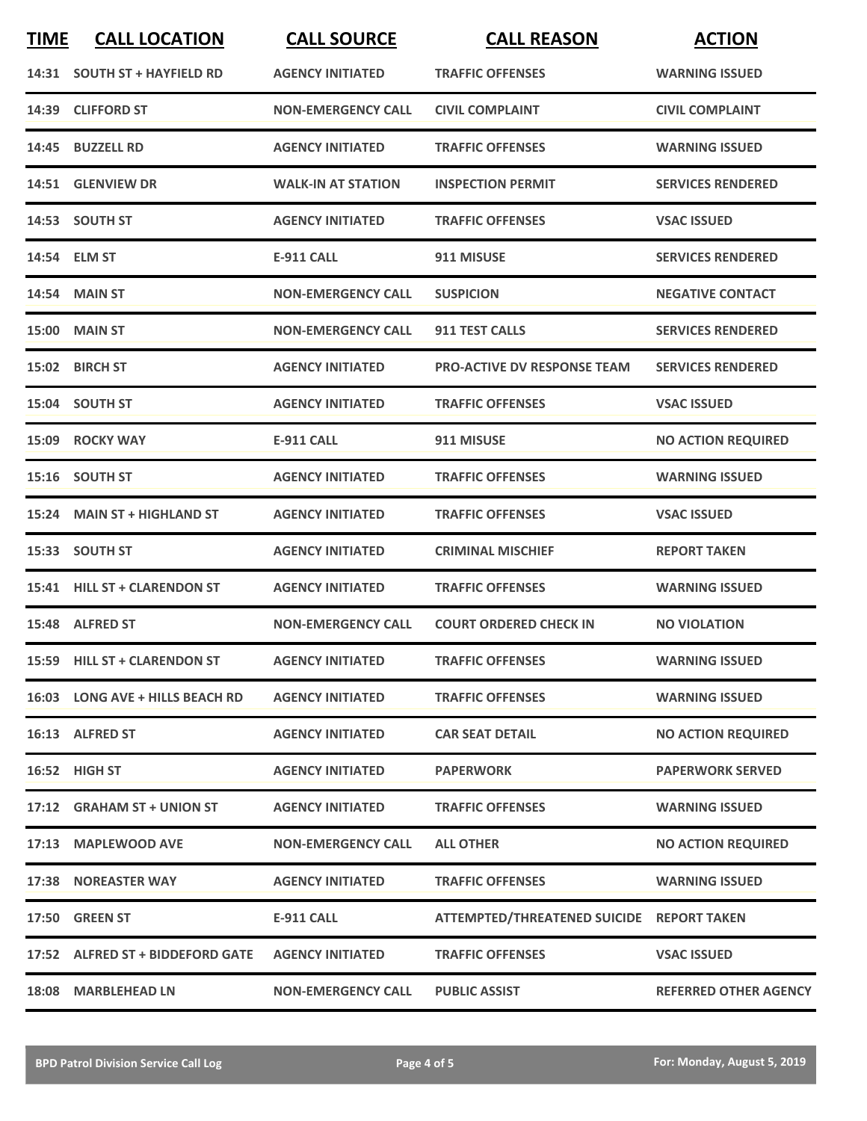| <b>TIME</b> | <b>CALL LOCATION</b>             | <b>CALL SOURCE</b>        | <b>CALL REASON</b>                        | <b>ACTION</b>                |
|-------------|----------------------------------|---------------------------|-------------------------------------------|------------------------------|
|             | 14:31 SOUTH ST + HAYFIELD RD     | <b>AGENCY INITIATED</b>   | <b>TRAFFIC OFFENSES</b>                   | <b>WARNING ISSUED</b>        |
|             | 14:39 CLIFFORD ST                | <b>NON-EMERGENCY CALL</b> | <b>CIVIL COMPLAINT</b>                    | <b>CIVIL COMPLAINT</b>       |
|             | 14:45 BUZZELL RD                 | <b>AGENCY INITIATED</b>   | <b>TRAFFIC OFFENSES</b>                   | <b>WARNING ISSUED</b>        |
|             | 14:51 GLENVIEW DR                | <b>WALK-IN AT STATION</b> | <b>INSPECTION PERMIT</b>                  | <b>SERVICES RENDERED</b>     |
|             | 14:53 SOUTH ST                   | <b>AGENCY INITIATED</b>   | <b>TRAFFIC OFFENSES</b>                   | <b>VSAC ISSUED</b>           |
|             | 14:54 ELM ST                     | <b>E-911 CALL</b>         | 911 MISUSE                                | <b>SERVICES RENDERED</b>     |
|             | <b>14:54 MAIN ST</b>             | <b>NON-EMERGENCY CALL</b> | <b>SUSPICION</b>                          | <b>NEGATIVE CONTACT</b>      |
|             | 15:00 MAIN ST                    | <b>NON-EMERGENCY CALL</b> | <b>911 TEST CALLS</b>                     | <b>SERVICES RENDERED</b>     |
|             | 15:02 BIRCH ST                   | <b>AGENCY INITIATED</b>   | <b>PRO-ACTIVE DV RESPONSE TEAM</b>        | <b>SERVICES RENDERED</b>     |
|             | 15:04 SOUTH ST                   | <b>AGENCY INITIATED</b>   | <b>TRAFFIC OFFENSES</b>                   | <b>VSAC ISSUED</b>           |
|             | 15:09 ROCKY WAY                  | <b>E-911 CALL</b>         | 911 MISUSE                                | <b>NO ACTION REQUIRED</b>    |
|             | 15:16 SOUTH ST                   | <b>AGENCY INITIATED</b>   | <b>TRAFFIC OFFENSES</b>                   | <b>WARNING ISSUED</b>        |
|             | 15:24 MAIN ST + HIGHLAND ST      | <b>AGENCY INITIATED</b>   | <b>TRAFFIC OFFENSES</b>                   | <b>VSAC ISSUED</b>           |
|             | 15:33 SOUTH ST                   | <b>AGENCY INITIATED</b>   | <b>CRIMINAL MISCHIEF</b>                  | <b>REPORT TAKEN</b>          |
|             | 15:41 HILL ST + CLARENDON ST     | <b>AGENCY INITIATED</b>   | <b>TRAFFIC OFFENSES</b>                   | <b>WARNING ISSUED</b>        |
|             | 15:48 ALFRED ST                  | <b>NON-EMERGENCY CALL</b> | <b>COURT ORDERED CHECK IN</b>             | <b>NO VIOLATION</b>          |
|             | 15:59 HILL ST + CLARENDON ST     | <b>AGENCY INITIATED</b>   | <b>TRAFFIC OFFENSES</b>                   | <b>WARNING ISSUED</b>        |
|             | 16:03 LONG AVE + HILLS BEACH RD  | <b>AGENCY INITIATED</b>   | <b>TRAFFIC OFFENSES</b>                   | <b>WARNING ISSUED</b>        |
|             | 16:13 ALFRED ST                  | <b>AGENCY INITIATED</b>   | <b>CAR SEAT DETAIL</b>                    | <b>NO ACTION REQUIRED</b>    |
|             | 16:52 HIGH ST                    | <b>AGENCY INITIATED</b>   | <b>PAPERWORK</b>                          | <b>PAPERWORK SERVED</b>      |
|             | 17:12 GRAHAM ST + UNION ST       | <b>AGENCY INITIATED</b>   | <b>TRAFFIC OFFENSES</b>                   | <b>WARNING ISSUED</b>        |
|             | 17:13 MAPLEWOOD AVE              | <b>NON-EMERGENCY CALL</b> | <b>ALL OTHER</b>                          | <b>NO ACTION REQUIRED</b>    |
|             | 17:38 NOREASTER WAY              | <b>AGENCY INITIATED</b>   | <b>TRAFFIC OFFENSES</b>                   | <b>WARNING ISSUED</b>        |
|             | 17:50 GREEN ST                   | <b>E-911 CALL</b>         | ATTEMPTED/THREATENED SUICIDE REPORT TAKEN |                              |
|             | 17:52 ALFRED ST + BIDDEFORD GATE | <b>AGENCY INITIATED</b>   | <b>TRAFFIC OFFENSES</b>                   | <b>VSAC ISSUED</b>           |
|             | 18:08 MARBLEHEAD LN              | <b>NON-EMERGENCY CALL</b> | <b>PUBLIC ASSIST</b>                      | <b>REFERRED OTHER AGENCY</b> |